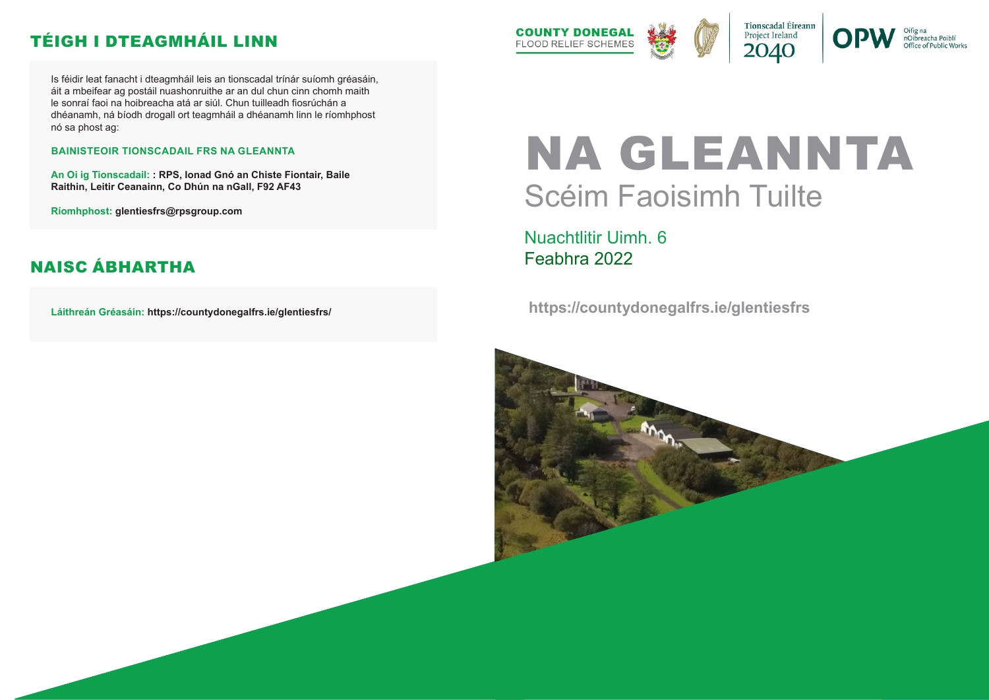# NA GLEANNTA Scéim Faoisimh Tuilte

Nuachtlitir Uimh. 6 Feabhra 2022

 **https://countydonegalfrs.ie/glentiesfrs**





nOibreacha Poiblí Office of Public Works

Is féidir leat fanacht i dteagmháil leis an tionscadal trínár suíomh gréasáin, áit a mbeifear ag postáil nuashonruithe ar an dul chun cinn chomh maith le sonraí faoi na hoibreacha atá ar siúl. Chun tuilleadh fiosrúchán a dhéanamh, ná bíodh drogall ort teagmháil a dhéanamh linn le ríomhphost nó sa phost ag:

#### **BAINISTEOIR TIONSCADAIL FRS NA GLEANNTA**

**An Oi ig Tionscadail: : RPS, Ionad Gnó an Chiste Fiontair, Baile Raithin, Leitir Ceanainn, Co Dhún na nGall, F92 AF43**

**Ríomhphost: glentiesfrs@rpsgroup.com**

**Láithreán Gréasáin: https://countydonegalfrs.ie/glentiesfrs/**



# TÉIGH I DTEAGMHÁIL LINN

## NAISC ÁBHARTHA